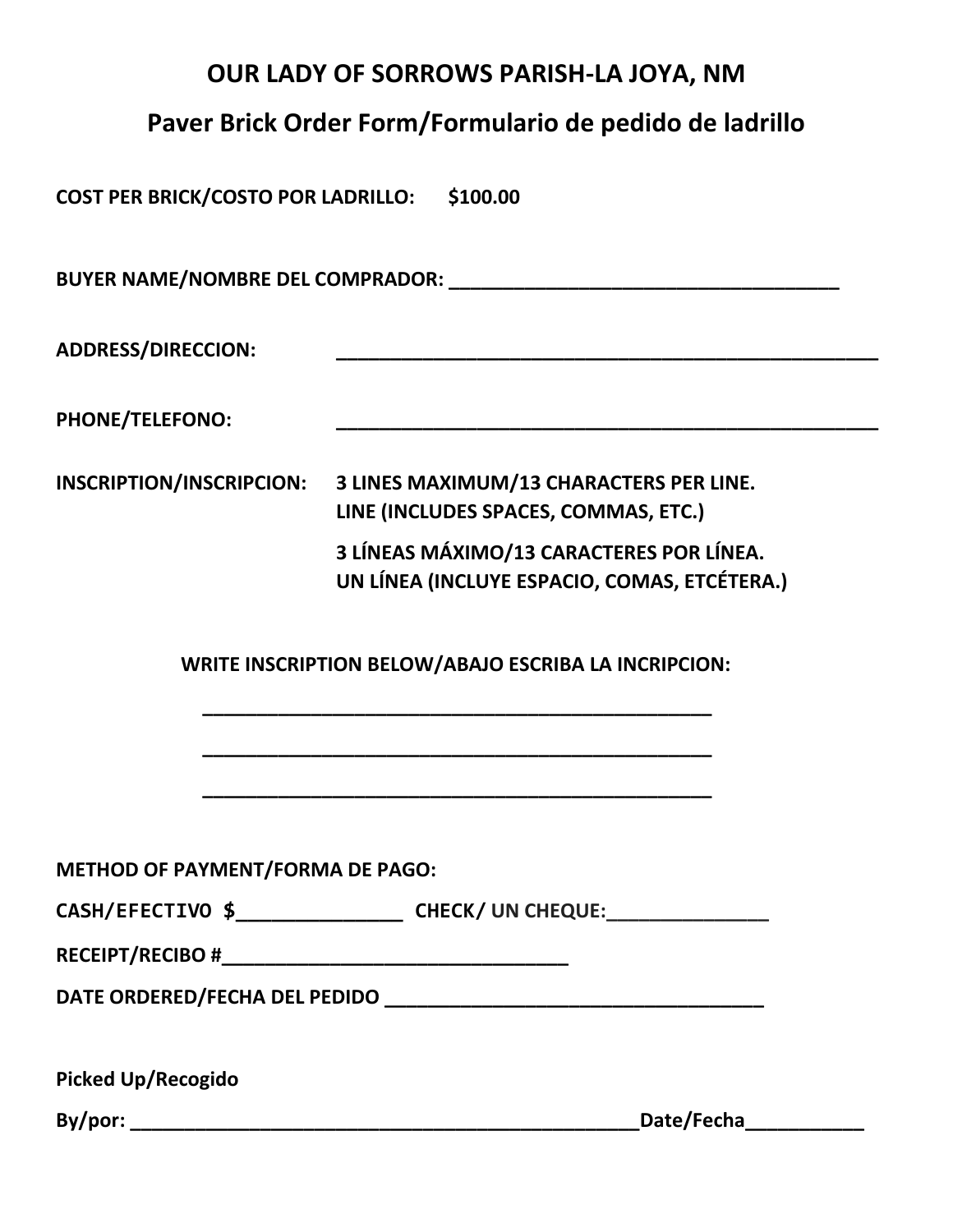## **OUR LADY OF SORROWS PARISH-LA JOYA, NM**

# **Paver Brick Order Form/Formulario de pedido de ladrillo**

**COST PER BRICK/COSTO POR LADRILLO: \$100.00**

**BUYER NAME/NOMBRE DEL COMPRADOR: \_\_\_\_\_\_\_\_\_\_\_\_\_\_\_\_\_\_\_\_\_\_\_\_\_\_\_\_\_\_\_\_\_\_\_\_**

**ADDRESS/DIRECCION: \_\_\_\_\_\_\_\_\_\_\_\_\_\_\_\_\_\_\_\_\_\_\_\_\_\_\_\_\_\_\_\_\_\_\_\_\_\_\_\_\_\_\_\_\_\_\_\_\_\_**

PHONE/TELEFONO:

**INSCRIPTION/INSCRIPCION: 3 LINES MAXIMUM/13 CHARACTERS PER LINE. LINE (INCLUDES SPACES, COMMAS, ETC.) 3 LÍNEAS MÁXIMO/13 CARACTERES POR LÍNEA. UN LÍNEA (INCLUYE ESPACIO, COMAS, ETCÉTERA.)**

 **WRITE INSCRIPTION BELOW/ABAJO ESCRIBA LA INCRIPCION:**

 **\_\_\_\_\_\_\_\_\_\_\_\_\_\_\_\_\_\_\_\_\_\_\_\_\_\_\_\_\_\_\_\_\_\_\_\_\_\_\_\_\_\_\_\_\_\_\_**

 **\_\_\_\_\_\_\_\_\_\_\_\_\_\_\_\_\_\_\_\_\_\_\_\_\_\_\_\_\_\_\_\_\_\_\_\_\_\_\_\_\_\_\_\_\_\_\_**

 **\_\_\_\_\_\_\_\_\_\_\_\_\_\_\_\_\_\_\_\_\_\_\_\_\_\_\_\_\_\_\_\_\_\_\_\_\_\_\_\_\_\_\_\_\_\_\_**

**METHOD OF PAYMENT/FORMA DE PAGO:**

**CASH/EFECTIVO \$\_\_\_\_\_\_\_\_\_\_\_\_\_\_ CHECK/ UN CHEQUE:\_\_\_\_\_\_\_\_\_\_\_\_\_\_\_**

**DATE ORDERED/FECHA DEL PEDIDO \_\_\_\_\_\_\_\_\_\_\_\_\_\_\_\_\_\_\_\_\_\_\_\_\_\_\_\_\_\_\_\_\_\_\_**

**Picked Up/Recogido**

**By/por: \_\_\_\_\_\_\_\_\_\_\_\_\_\_\_\_\_\_\_\_\_\_\_\_\_\_\_\_\_\_\_\_\_\_\_\_\_\_\_\_\_\_\_\_\_\_\_Date/Fecha\_\_\_\_\_\_\_\_\_\_\_**